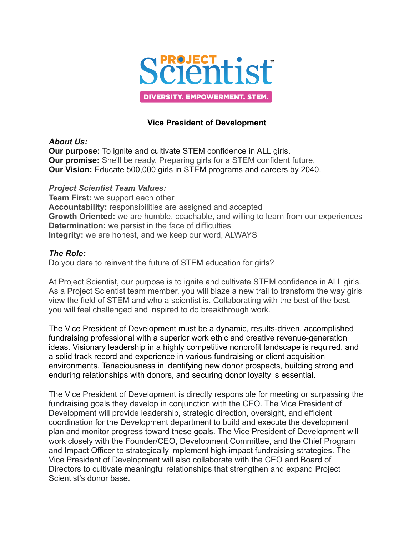

### **Vice President of Development**

### *About Us:*

**Our purpose:** To ignite and cultivate STEM confidence in ALL girls. **Our promise:** She'll be ready. Preparing girls for a STEM confident future. **Our Vision:** Educate 500,000 girls in STEM programs and careers by 2040.

### *Project Scientist Team Values:*

**Team First:** we support each other **Accountability:** responsibilities are assigned and accepted **Growth Oriented:** we are humble, coachable, and willing to learn from our experiences **Determination:** we persist in the face of difficulties **Integrity:** we are honest, and we keep our word, ALWAYS

### *The Role:*

Do you dare to reinvent the future of STEM education for girls?

At Project Scientist, our purpose is to ignite and cultivate STEM confidence in ALL girls. As a Project Scientist team member, you will blaze a new trail to transform the way girls view the field of STEM and who a scientist is. Collaborating with the best of the best, you will feel challenged and inspired to do breakthrough work.

The Vice President of Development must be a dynamic, results-driven, accomplished fundraising professional with a superior work ethic and creative revenue-generation ideas. Visionary leadership in a highly competitive nonprofit landscape is required, and a solid track record and experience in various fundraising or client acquisition environments. Tenaciousness in identifying new donor prospects, building strong and enduring relationships with donors, and securing donor loyalty is essential.

The Vice President of Development is directly responsible for meeting or surpassing the fundraising goals they develop in conjunction with the CEO. The Vice President of Development will provide leadership, strategic direction, oversight, and efficient coordination for the Development department to build and execute the development plan and monitor progress toward these goals. The Vice President of Development will work closely with the Founder/CEO, Development Committee, and the Chief Program and Impact Officer to strategically implement high-impact fundraising strategies. The Vice President of Development will also collaborate with the CEO and Board of Directors to cultivate meaningful relationships that strengthen and expand Project Scientist's donor base.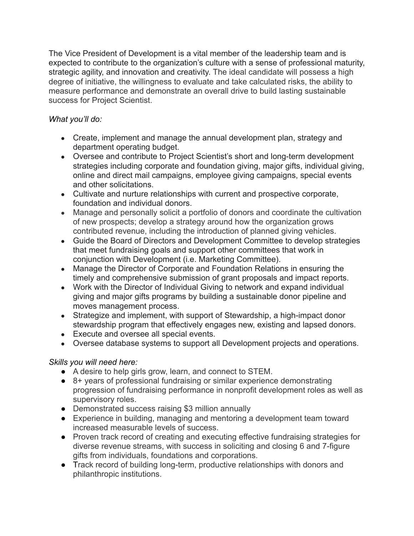The Vice President of Development is a vital member of the leadership team and is expected to contribute to the organization's culture with a sense of professional maturity, strategic agility, and innovation and creativity. The ideal candidate will possess a high degree of initiative, the willingness to evaluate and take calculated risks, the ability to measure performance and demonstrate an overall drive to build lasting sustainable success for Project Scientist.

# *What you'll do:*

- Create, implement and manage the annual development plan, strategy and department operating budget.
- Oversee and contribute to Project Scientist's short and long-term development strategies including corporate and foundation giving, major gifts, individual giving, online and direct mail campaigns, employee giving campaigns, special events and other solicitations.
- Cultivate and nurture relationships with current and prospective corporate, foundation and individual donors.
- Manage and personally solicit a portfolio of donors and coordinate the cultivation of new prospects; develop a strategy around how the organization grows contributed revenue, including the introduction of planned giving vehicles.
- Guide the Board of Directors and Development Committee to develop strategies that meet fundraising goals and support other committees that work in conjunction with Development (i.e. Marketing Committee).
- Manage the Director of Corporate and Foundation Relations in ensuring the timely and comprehensive submission of grant proposals and impact reports.
- Work with the Director of Individual Giving to network and expand individual giving and major gifts programs by building a sustainable donor pipeline and moves management process.
- Strategize and implement, with support of Stewardship, a high-impact donor stewardship program that effectively engages new, existing and lapsed donors.
- Execute and oversee all special events.
- Oversee database systems to support all Development projects and operations.

# *Skills you will need here:*

- A desire to help girls grow, learn, and connect to STEM.
- 8+ years of professional fundraising or similar experience demonstrating progression of fundraising performance in nonprofit development roles as well as supervisory roles.
- Demonstrated success raising \$3 million annually
- Experience in building, managing and mentoring a development team toward increased measurable levels of success.
- Proven track record of creating and executing effective fundraising strategies for diverse revenue streams, with success in soliciting and closing 6 and 7-figure gifts from individuals, foundations and corporations.
- Track record of building long-term, productive relationships with donors and philanthropic institutions.